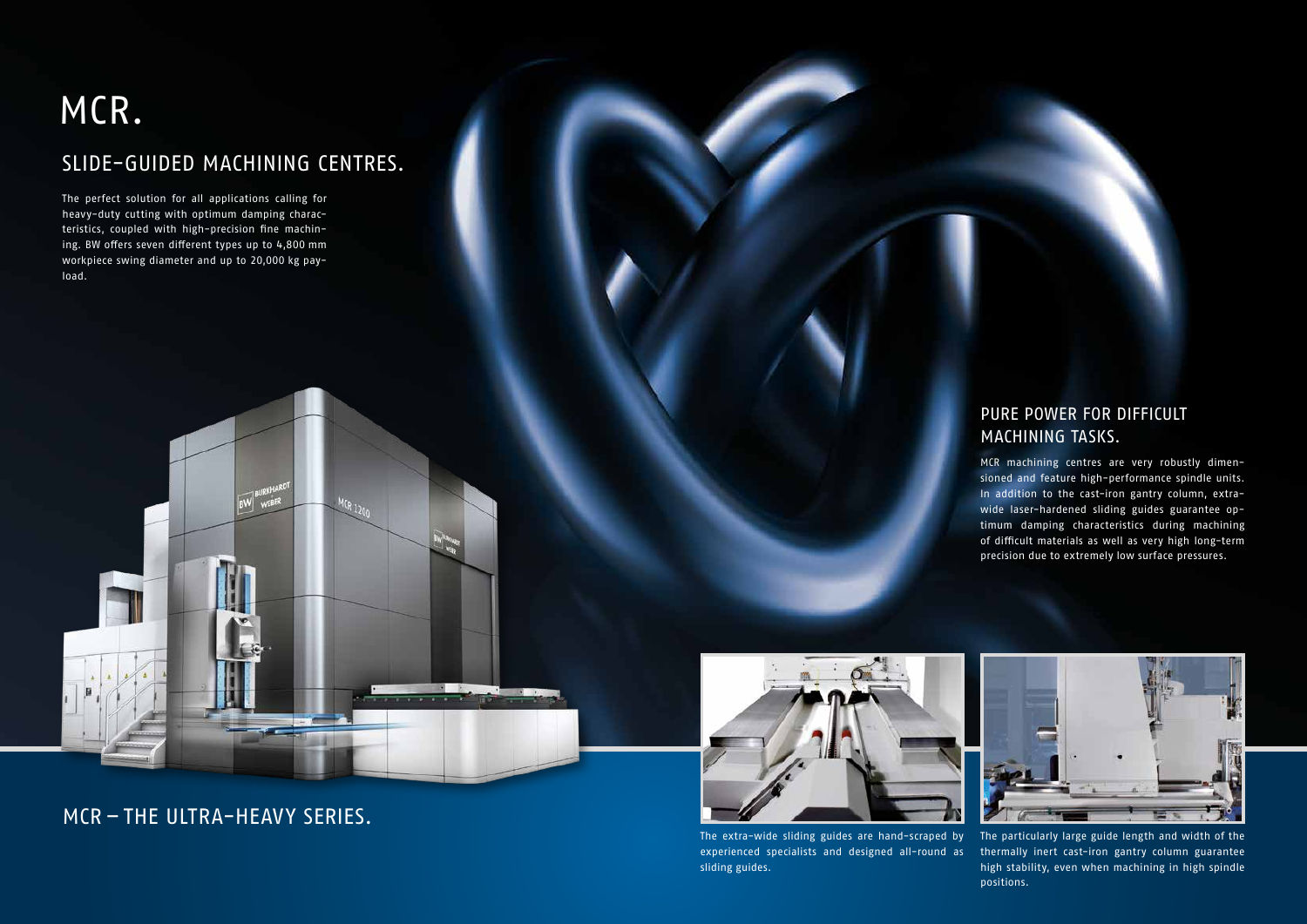The perfect solution for all applications calling for heavy-duty cutting with optimum damping characteristics, coupled with high-precision fine machining. BW offers seven different types up to 4,800 mm workpiece swing diameter and up to 20,000 kg payload.

### MCR.

E

#### SLIDE-GUIDED MACHINING CENTRES.

 $MCR_{1200}$ 

and a

#### PURE POWER FOR DIFFICULT MACHINING TASKS.

MCR machining centres are very robustly dimensioned and feature high-performance spindle units. In addition to the cast-iron gantry column, extrawide laser-hardened sliding guides guarantee optimum damping characteristics during machining of difficult materials as well as very high long-term precision due to extremely low surface pressures.

The extra-wide sliding guides are hand-scraped by experienced specialists and designed all-round as thermally inert cast-iron gantry column guarantee sliding guides.



The particularly large guide length and width of the high stability, even when machining in high spindle positions.

MCR – THE ULTRA-HEAVY SERIES.

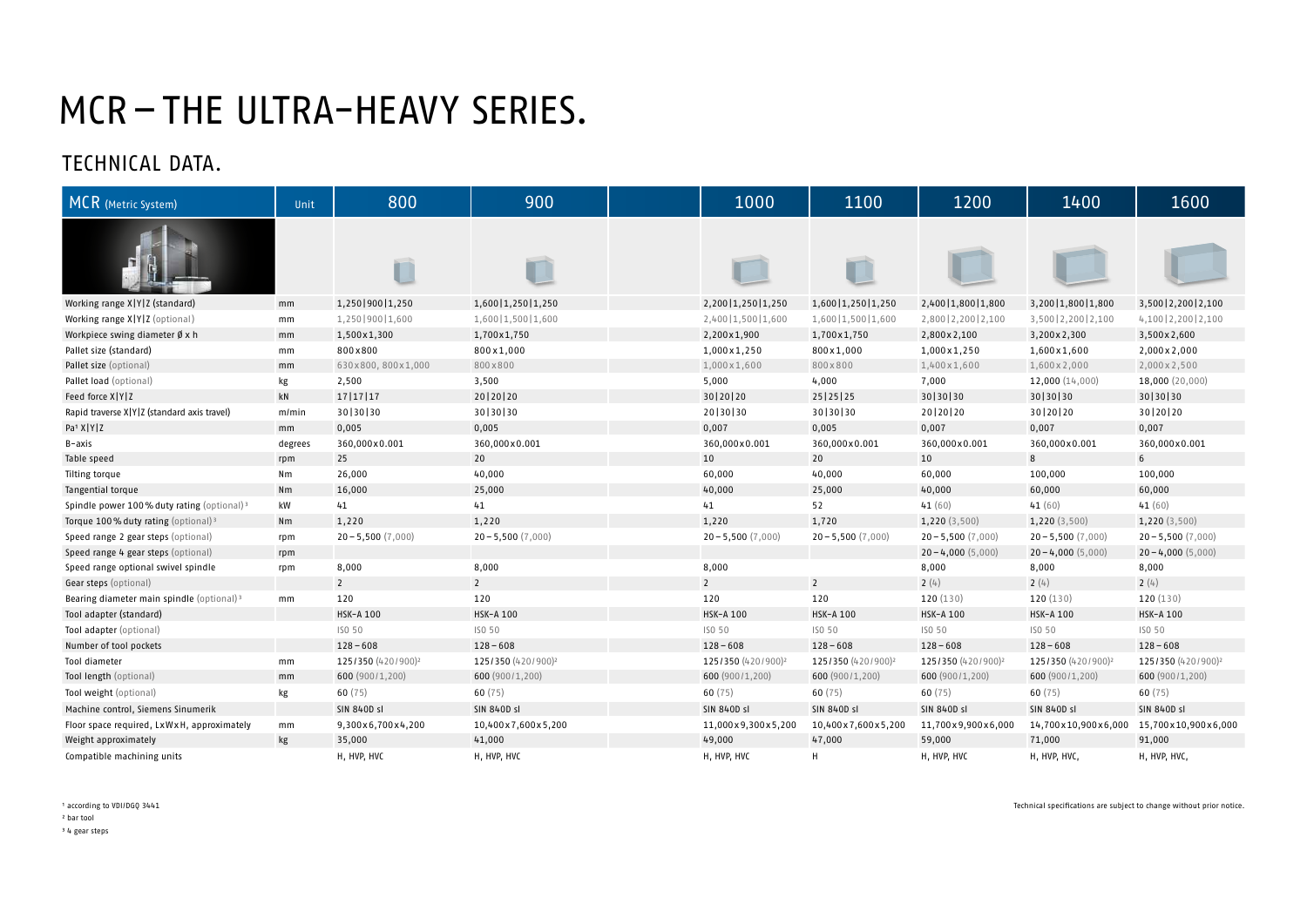# MCR–THE ULTRA-HEAVY SERIES.

| MCR (Metric System)                                    | Unit    | 800                            | 900                            | 1000                           | 1100                           | 1200                           | 1400                           | 1600                           |
|--------------------------------------------------------|---------|--------------------------------|--------------------------------|--------------------------------|--------------------------------|--------------------------------|--------------------------------|--------------------------------|
|                                                        |         | T                              |                                |                                | $\Box$                         |                                |                                |                                |
| Working range X Y Z (standard)                         | mm      | 1,250   900   1,250            | 1,600   1,250   1,250          | 2,200   1,250   1,250          | 1,600   1,250   1,250          | 2,400   1,800   1,800          | 3,200   1,800   1,800          | 3,500   2,200   2,100          |
| Working range X Y Z (optional)                         | mm      | 1,250 900 1,600                | 1,600   1,500   1,600          | 2,400   1,500   1,600          | 1,600   1,500   1,600          | 2,800   2,200   2,100          | 3,500   2,200   2,100          | 4,100   2,200   2,100          |
| Workpiece swing diameter $\emptyset$ x h               | mm      | 1,500x1,300                    | 1,700x1,750                    | 2,200×1,900                    | 1,700x1,750                    | 2,800 x 2,100                  | 3,200x2,300                    | 3,500 x 2,600                  |
| Pallet size (standard)                                 | mm      | 800x800                        | 800x1,000                      | 1,000 x 1,250                  | 800x1,000                      | 1,000x1,250                    | 1,600 x 1,600                  | 2,000 x 2,000                  |
| Pallet size (optional)                                 | mm      | 630x800, 800x1,000             | 800×800                        | 1,000 x 1,600                  | 800x800                        | 1,400 x 1,600                  | 1,600 x 2,000                  | 2,000 x 2,500                  |
| Pallet load (optional)                                 | kg      | 2,500                          | 3,500                          | 5,000                          | 4,000                          | 7,000                          | 12,000 (14,000)                | 18,000 (20,000)                |
| Feed force X Y Z                                       | kN      | 17   17   17                   | 20   20   20                   | 30   20   20                   | 25   25   25                   | 30 30 30                       | 30 30 30                       | 30 30 30                       |
| Rapid traverse X Y Z (standard axis travel)            | m/min   | 30 30 30                       | 30 30 30                       | 20 30 30                       | 30 30 30                       | 20   20   20                   | 30   20   20                   | 30   20   20                   |
| Pa <sup>1</sup> X   Y   Z                              | mm      | 0,005                          | 0,005                          | 0,007                          | 0,005                          | 0,007                          | 0,007                          | 0,007                          |
| B-axis                                                 | degrees | 360,000x0.001                  | 360,000x0.001                  | 360,000x0.001                  | 360,000x0.001                  | 360,000x0.001                  | 360,000x0.001                  | 360,000x0.001                  |
| Table speed                                            | rpm     | 25                             | 20                             | 10                             | 20                             | 10                             | 8                              | 6 <sup>1</sup>                 |
| Tilting torque                                         | Nm      | 26,000                         | 40,000                         | 60,000                         | 40,000                         | 60,000                         | 100,000                        | 100,000                        |
| Tangential torque                                      | Nm      | 16,000                         | 25,000                         | 40,000                         | 25,000                         | 40,000                         | 60,000                         | 60,000                         |
| Spindle power 100% duty rating (optional) <sup>3</sup> | kW      | 41                             | 41                             | 41                             | 52                             | 41(60)                         | 41(60)                         | 41(60)                         |
| Torque 100% duty rating (optional) <sup>3</sup>        | Nm      | 1,220                          | 1,220                          | 1,220                          | 1,720                          | 1,220 (3,500)                  | 1,220 (3,500)                  | 1,220 (3,500)                  |
| Speed range 2 gear steps (optional)                    | rpm     | $20 - 5,500(7,000)$            | $20 - 5,500(7,000)$            | $20 - 5,500(7,000)$            | $20 - 5,500(7,000)$            | $20 - 5,500(7,000)$            | $20 - 5,500(7,000)$            | $20 - 5,500(7,000)$            |
| Speed range 4 gear steps (optional)                    | rpm     |                                |                                |                                |                                | $20 - 4,000(5,000)$            | $20 - 4,000(5,000)$            | $20 - 4,000(5,000)$            |
| Speed range optional swivel spindle                    | rpm     | 8,000                          | 8,000                          | 8,000                          |                                | 8,000                          | 8,000                          | 8,000                          |
| Gear steps (optional)                                  |         | $\overline{2}$                 | $\overline{2}$                 | $\overline{2}$                 | $\overline{2}$                 | 2(4)                           | 2(4)                           | 2(4)                           |
| Bearing diameter main spindle (optional) <sup>3</sup>  | mm      | 120                            | 120                            | 120                            | 120                            | 120 (130)                      | 120 (130)                      | 120 (130)                      |
| Tool adapter (standard)                                |         | <b>HSK-A 100</b>               | <b>HSK-A 100</b>               | HSK-A 100                      | <b>HSK-A 100</b>               | <b>HSK-A 100</b>               | <b>HSK-A 100</b>               | <b>HSK-A 100</b>               |
| Tool adapter (optional)                                |         | ISO 50                         | ISO 50                         | ISO 50                         | ISO 50                         | ISO 50                         | ISO 50                         | ISO 50                         |
| Number of tool pockets                                 |         | $128 - 608$                    | $128 - 608$                    | $128 - 608$                    | $128 - 608$                    | $128 - 608$                    | $128 - 608$                    | $128 - 608$                    |
| Tool diameter                                          | mm      | 125/350 (420/900) <sup>2</sup> | 125/350 (420/900) <sup>2</sup> | 125/350 (420/900) <sup>2</sup> | 125/350 (420/900) <sup>2</sup> | 125/350 (420/900) <sup>2</sup> | 125/350 (420/900) <sup>2</sup> | 125/350 (420/900) <sup>2</sup> |
| Tool length (optional)                                 | mm      | 600 (900/1,200)                | 600 (900/1,200)                | 600 (900/1,200)                | 600 (900/1,200)                | 600 (900/1,200)                | 600 (900/1,200)                | 600 (900/1,200)                |
| Tool weight (optional)                                 | kg      | 60(75)                         | 60 $(75)$                      | 60 $(75)$                      | 60(75)                         | 60 $(75)$                      | 60(75)                         | 60(75)                         |
| Machine control, Siemens Sinumerik                     |         | <b>SIN 840D sl</b>             | <b>SIN 840D sl</b>             | <b>SIN 840D sl</b>             | <b>SIN 840D sl</b>             | <b>SIN 840D sl</b>             | <b>SIN 840D sl</b>             | <b>SIN 840D sl</b>             |
| Floor space required, LxWxH, approximately             | mm      | 9,300x6,700x4,200              | 10,400x7,600x5,200             | 11,000x9,300x5,200             | 10,400x7,600x5,200             | 11,700x9,900x6,000             | 14,700x10,900x6,000            | 15,700x10,900x6,000            |
| Weight approximately                                   | kg      | 35,000                         | 41,000                         | 49,000                         | 47,000                         | 59,000                         | 71,000                         | 91,000                         |
| Compatible machining units                             |         | H, HVP, HVC                    | H, HVP, HVC                    | H, HVP, HVC                    | H                              | H, HVP, HVC                    | H, HVP, HVC,                   | H, HVP, HVC,                   |

<sup>1</sup> according to VDI/DGQ 3441

### TECHNICAL DATA.

² bar tool

³ 4 gear steps

Technical specifications are subject to change without prior notice.